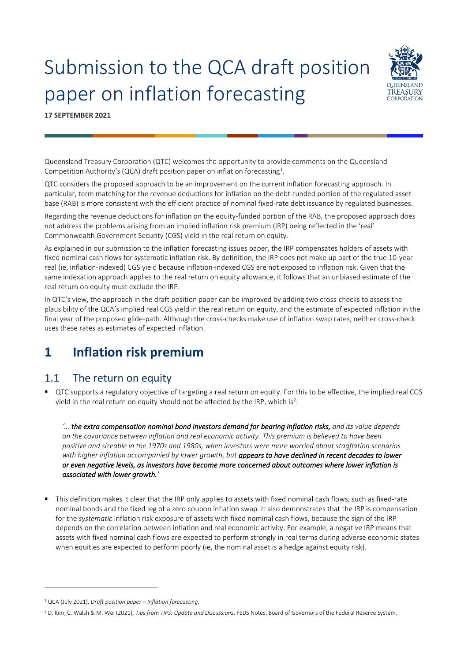# Submission to the QCA draft position paper on inflation forecasting



**17 SEPTEMBER 2021**

Queensland Treasury Corporation (QTC) welcomes the opportunity to provide comments on the Queensland Competition Authority's (QCA) draft position paper on inflation forecasting<sup>1</sup>.

QTC considers the proposed approach to be an improvement on the current inflation forecasting approach. In particular, term matching for the revenue deductions for inflation on the debt-funded portion of the regulated asset base (RAB) is more consistent with the efficient practice of nominal fixed-rate debt issuance by regulated businesses.

Regarding the revenue deductions for inflation on the equity-funded portion of the RAB, the proposed approach does not address the problems arising from an implied inflation risk premium (IRP) being reflected in the 'real' Commonwealth Government Security (CGS) yield in the real return on equity.

As explained in our submission to the inflation forecasting issues paper, the IRP compensates holders of assets with fixed nominal cash flows for systematic inflation risk. By definition, the IRP does not make up part of the true 10-year real (ie, inflation-indexed) CGS yield because inflation-indexed CGS are not exposed to inflation risk. Given that the same indexation approach applies to the real return on equity allowance, it follows that an unbiased estimate of the real return on equity must exclude the IRP.

In QTC's view, the approach in the draft position paper can be improved by adding two cross-checks to assess the plausibility of the QCA's implied real CGS yield in the real return on equity, and the estimate of expected inflation in the final year of the proposed glide-path. Although the cross-checks make use of inflation swap rates, neither cross-check uses these rates as estimates of expected inflation.

## **1 Inflation risk premium**

## 1.1 The return on equity

▪ QTC supports a regulatory objective of targeting a real return on equity. For this to be effective, the implied real CGS yield in the real return on equity should not be affected by the IRP, which is $^2$ :

*'… the extra compensation nominal bond investors demand for bearing inflation risks, and its value depends on the covariance between inflation and real economic activity. This premium is believed to have been positive and sizeable in the 1970s and 1980s, when investors were more worried about stagflation scenarios with higher inflation accompanied by lower growth, but appears to have declined in recent decades to lower or even negative levels, as investors have become more concerned about outcomes where lower inflation is associated with lower growth.'*

■ This definition makes it clear that the IRP only applies to assets with fixed nominal cash flows, such as fixed-rate nominal bonds and the fixed leg of a zero coupon inflation swap. It also demonstrates that the IRP is compensation for the *systematic* inflation risk exposure of assets with fixed nominal cash flows, because the sign of the IRP depends on the correlation between inflation and real economic activity. For example, a negative IRP means that assets with fixed nominal cash flows are expected to perform strongly in real terms during adverse economic states when equities are expected to perform poorly (ie, the nominal asset is a hedge against equity risk).

<sup>1</sup> QCA (July 2021), *Draft position paper – Inflation forecasting*.

<sup>2</sup> D. Kim, C. Walsh & M. Wei (2021), *Tips from TIPS: Update and Discussions*, FEDS Notes. Board of Governors of the Federal Reserve System.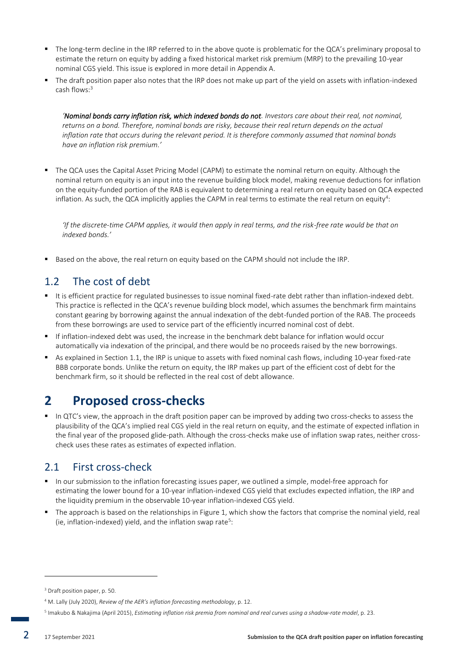- The long-term decline in the IRP referred to in the above quote is problematic for the QCA's preliminary proposal to estimate the return on equity by adding a fixed historical market risk premium (MRP) to the prevailing 10-year nominal CGS yield. This issue is explored in more detail in Appendix A.
- The draft position paper also notes that the IRP does not make up part of the yield on assets with inflation-indexed cash flows:<sup>3</sup>

*'Nominal bonds carry inflation risk, which indexed bonds do not. Investors care about their real, not nominal, returns on a bond. Therefore, nominal bonds are risky, because their real return depends on the actual inflation rate that occurs during the relevant period. It is therefore commonly assumed that nominal bonds have an inflation risk premium.'*

■ The QCA uses the Capital Asset Pricing Model (CAPM) to estimate the nominal return on equity. Although the nominal return on equity is an input into the revenue building block model, making revenue deductions for inflation on the equity-funded portion of the RAB is equivalent to determining a real return on equity based on QCA expected inflation. As such, the QCA implicitly applies the CAPM in real terms to estimate the real return on equity $^4\!:\,$ 

*'If the discrete-time CAPM applies, it would then apply in real terms, and the risk-free rate would be that on indexed bonds.'*

■ Based on the above, the real return on equity based on the CAPM should not include the IRP.

## 1.2 The cost of debt

- It is efficient practice for regulated businesses to issue nominal fixed-rate debt rather than inflation-indexed debt. This practice is reflected in the QCA's revenue building block model, which assumes the benchmark firm maintains constant gearing by borrowing against the annual indexation of the debt-funded portion of the RAB. The proceeds from these borrowings are used to service part of the efficiently incurred nominal cost of debt.
- If inflation-indexed debt was used, the increase in the benchmark debt balance for inflation would occur automatically via indexation of the principal, and there would be no proceeds raised by the new borrowings.
- As explained in Section 1.1, the IRP is unique to assets with fixed nominal cash flows, including 10-year fixed-rate BBB corporate bonds. Unlike the return on equity, the IRP makes up part of the efficient cost of debt for the benchmark firm, so it should be reflected in the real cost of debt allowance.

## **2 Proposed cross-checks**

▪ In QTC's view, the approach in the draft position paper can be improved by adding two cross-checks to assess the plausibility of the QCA's implied real CGS yield in the real return on equity, and the estimate of expected inflation in the final year of the proposed glide-path. Although the cross-checks make use of inflation swap rates, neither crosscheck uses these rates as estimates of expected inflation.

## 2.1 First cross-check

- In our submission to the inflation forecasting issues paper, we outlined a simple, model-free approach for estimating the lower bound for a 10-year inflation-indexed CGS yield that excludes expected inflation, the IRP and the liquidity premium in the observable 10-year inflation-indexed CGS yield.
- The approach is based on the relationships in Figure 1, which show the factors that comprise the nominal yield, real (ie, inflation-indexed) yield, and the inflation swap rate<sup>5</sup>:

<sup>3</sup> Draft position paper, p. 50.

<sup>4</sup> M. Lally (July 2020), *Review of the AER's inflation forecasting methodology*, p. 12.

<sup>5</sup> Imakubo & Nakajima (April 2015), *Estimating inflation risk premia from nominal and real curves using a shadow-rate model*, p. 23.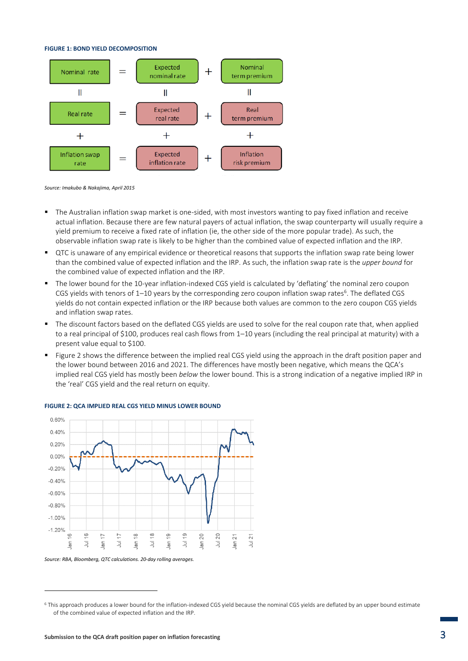#### **FIGURE 1: BOND YIELD DECOMPOSITION**



*Source: Imakubo & Nakajima, April 2015*

- The Australian inflation swap market is one-sided, with most investors wanting to pay fixed inflation and receive actual inflation. Because there are few natural payers of actual inflation, the swap counterparty will usually require a yield premium to receive a fixed rate of inflation (ie, the other side of the more popular trade). As such, the observable inflation swap rate is likely to be higher than the combined value of expected inflation and the IRP.
- QTC is unaware of any empirical evidence or theoretical reasons that supports the inflation swap rate being lower than the combined value of expected inflation and the IRP. As such, the inflation swap rate is the *upper bound* for the combined value of expected inflation and the IRP.
- The lower bound for the 10-year inflation-indexed CGS yield is calculated by 'deflating' the nominal zero coupon CGS yields with tenors of  $1-10$  years by the corresponding zero coupon inflation swap rates<sup>6</sup>. The deflated CGS yields do not contain expected inflation or the IRP because both values are common to the zero coupon CGS yields and inflation swap rates.
- The discount factors based on the deflated CGS yields are used to solve for the real coupon rate that, when applied to a real principal of \$100, produces real cash flows from 1–10 years (including the real principal at maturity) with a present value equal to \$100.
- Figure 2 shows the difference between the implied real CGS yield using the approach in the draft position paper and the lower bound between 2016 and 2021. The differences have mostly been negative, which means the QCA's implied real CGS yield has mostly been *below* the lower bound. This is a strong indication of a negative implied IRP in the 'real' CGS yield and the real return on equity.



#### **FIGURE 2: QCA IMPLIED REAL CGS YIELD MINUS LOWER BOUND**

*Source: RBA, Bloomberg, QTC calculations. 20-day rolling averages.*

<sup>6</sup> This approach produces a lower bound for the inflation-indexed CGS yield because the nominal CGS yields are deflated by an upper bound estimate of the combined value of expected inflation and the IRP.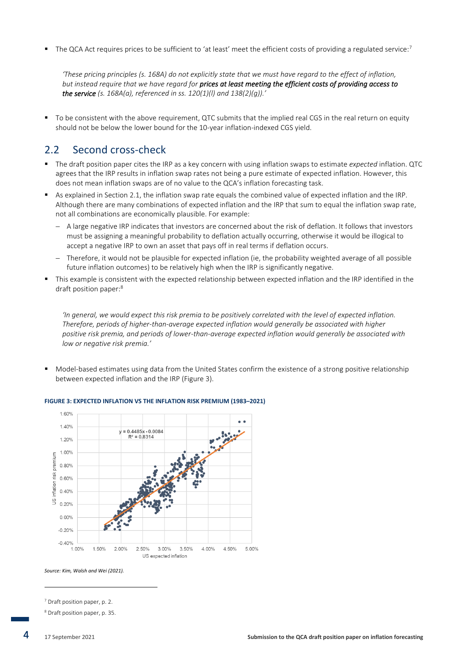$\blacksquare$  The QCA Act requires prices to be sufficient to 'at least' meet the efficient costs of providing a regulated service:<sup>7</sup>

*'These pricing principles (s. 168A) do not explicitly state that we must have regard to the effect of inflation, but instead require that we have regard for prices at least meeting the efficient costs of providing access to the service (s. 168A(a), referenced in ss. 120(1)(l) and 138(2)(g)).'*

To be consistent with the above requirement, QTC submits that the implied real CGS in the real return on equity should not be below the lower bound for the 10-year inflation-indexed CGS yield.

### 2.2 Second cross-check

- The draft position paper cites the IRP as a key concern with using inflation swaps to estimate *expected* inflation. QTC agrees that the IRP results in inflation swap rates not being a pure estimate of expected inflation. However, this does not mean inflation swaps are of no value to the QCA's inflation forecasting task.
- As explained in Section 2.1, the inflation swap rate equals the combined value of expected inflation and the IRP. Although there are many combinations of expected inflation and the IRP that sum to equal the inflation swap rate, not all combinations are economically plausible. For example:
	- − A large negative IRP indicates that investors are concerned about the risk of deflation. It follows that investors must be assigning a meaningful probability to deflation actually occurring, otherwise it would be illogical to accept a negative IRP to own an asset that pays off in real terms if deflation occurs.
	- − Therefore, it would not be plausible for expected inflation (ie, the probability weighted average of all possible future inflation outcomes) to be relatively high when the IRP is significantly negative.
- This example is consistent with the expected relationship between expected inflation and the IRP identified in the draft position paper:<sup>8</sup>

*'In general, we would expect this risk premia to be positively correlated with the level of expected inflation. Therefore, periods of higher-than-average expected inflation would generally be associated with higher positive risk premia, and periods of lower-than-average expected inflation would generally be associated with low or negative risk premia.'*

Model-based estimates using data from the United States confirm the existence of a strong positive relationship between expected inflation and the IRP (Figure 3).



#### **FIGURE 3: EXPECTED INFLATION VS THE INFLATION RISK PREMIUM (1983–2021)**

*Source: Kim, Walsh and Wei (2021).*

<sup>7</sup> Draft position paper, p. 2.

<sup>8</sup> Draft position paper, p. 35.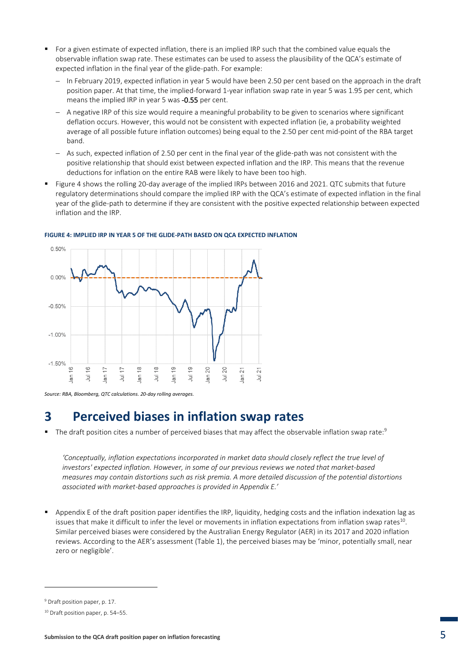- For a given estimate of expected inflation, there is an implied IRP such that the combined value equals the observable inflation swap rate. These estimates can be used to assess the plausibility of the QCA's estimate of expected inflation in the final year of the glide-path. For example:
	- − In February 2019, expected inflation in year 5 would have been 2.50 per cent based on the approach in the draft position paper. At that time, the implied-forward 1-year inflation swap rate in year 5 was 1.95 per cent, which means the implied IRP in year 5 was -0.55 per cent.
	- − A negative IRP of this size would require a meaningful probability to be given to scenarios where significant deflation occurs. However, this would not be consistent with expected inflation (ie, a probability weighted average of all possible future inflation outcomes) being equal to the 2.50 per cent mid-point of the RBA target band.
	- − As such, expected inflation of 2.50 per cent in the final year of the glide-path was not consistent with the positive relationship that should exist between expected inflation and the IRP. This means that the revenue deductions for inflation on the entire RAB were likely to have been too high.
- Figure 4 shows the rolling 20-day average of the implied IRPs between 2016 and 2021. QTC submits that future regulatory determinations should compare the implied IRP with the QCA's estimate of expected inflation in the final year of the glide-path to determine if they are consistent with the positive expected relationship between expected inflation and the IRP.



**FIGURE 4: IMPLIED IRP IN YEAR 5 OF THE GLIDE-PATH BASED ON QCA EXPECTED INFLATION**

*Source: RBA, Bloomberg, QTC calculations. 20-day rolling averages.*

## **3 Perceived biases in inflation swap rates**

 $\blacksquare$  The draft position cites a number of perceived biases that may affect the observable inflation swap rate:

*'Conceptually, inflation expectations incorporated in market data should closely reflect the true level of investors' expected inflation. However, in some of our previous reviews we noted that market-based measures may contain distortions such as risk premia. A more detailed discussion of the potential distortions associated with market-based approaches is provided in Appendix E.'*

■ Appendix E of the draft position paper identifies the IRP, liquidity, hedging costs and the inflation indexation lag as issues that make it difficult to infer the level or movements in inflation expectations from inflation swap rates $^{10}$ . Similar perceived biases were considered by the Australian Energy Regulator (AER) in its 2017 and 2020 inflation reviews. According to the AER's assessment (Table 1), the perceived biases may be 'minor, potentially small, near zero or negligible'.

<sup>9</sup> Draft position paper, p. 17.

<sup>10</sup> Draft position paper, p. 54–55.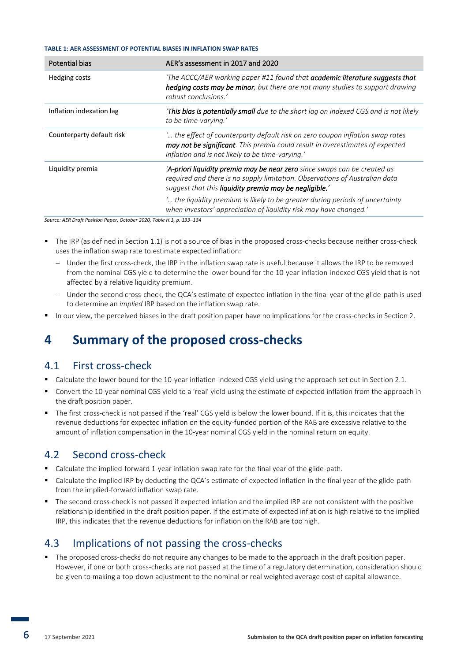#### **TABLE 1: AER ASSESSMENT OF POTENTIAL BIASES IN INFLATION SWAP RATES**

| <b>Potential bias</b>     | AER's assessment in 2017 and 2020                                                                                                                                                                                  |
|---------------------------|--------------------------------------------------------------------------------------------------------------------------------------------------------------------------------------------------------------------|
| Hedging costs             | The ACCC/AER working paper #11 found that <b>academic literature suggests that</b><br>hedging costs may be minor, but there are not many studies to support drawing<br>robust conclusions.'                        |
| Inflation indexation lag  | <b>This bias is potentially small</b> due to the short lag on indexed CGS and is not likely<br>to be time-varying.'                                                                                                |
| Counterparty default risk | ' the effect of counterparty default risk on zero coupon inflation swap rates<br>may not be significant. This premia could result in overestimates of expected<br>inflation and is not likely to be time-varying.' |
| Liquidity premia          | 'A-priori liquidity premia may be near zero since swaps can be created as<br>required and there is no supply limitation. Observations of Australian data<br>suggest that this liquidity premia may be negligible.' |
|                           | " the liquidity premium is likely to be greater during periods of uncertainty<br>when investors' appreciation of liquidity risk may have changed.'                                                                 |

*Source: AER Draft Position Paper, October 2020, Table H.1, p. 133–134*

- The IRP (as defined in Section 1.1) is not a source of bias in the proposed cross-checks because neither cross-check uses the inflation swap rate to estimate expected inflation:
	- Under the first cross-check, the IRP in the inflation swap rate is useful because it allows the IRP to be removed from the nominal CGS yield to determine the lower bound for the 10-year inflation-indexed CGS yield that is not affected by a relative liquidity premium.
	- − Under the second cross-check, the QCA's estimate of expected inflation in the final year of the glide-path is used to determine an *implied* IRP based on the inflation swap rate.
- In our view, the perceived biases in the draft position paper have no implications for the cross-checks in Section 2.

## **4 Summary of the proposed cross-checks**

#### 4.1 First cross-check

- Calculate the lower bound for the 10-year inflation-indexed CGS yield using the approach set out in Section 2.1.
- Convert the 10-year nominal CGS yield to a 'real' yield using the estimate of expected inflation from the approach in the draft position paper.
- The first cross-check is not passed if the 'real' CGS yield is below the lower bound. If it is, this indicates that the revenue deductions for expected inflation on the equity-funded portion of the RAB are excessive relative to the amount of inflation compensation in the 10-year nominal CGS yield in the nominal return on equity.

### 4.2 Second cross-check

- Calculate the implied-forward 1-year inflation swap rate for the final year of the glide-path.
- Calculate the implied IRP by deducting the QCA's estimate of expected inflation in the final year of the glide-path from the implied-forward inflation swap rate.
- The second cross-check is not passed if expected inflation and the implied IRP are not consistent with the positive relationship identified in the draft position paper. If the estimate of expected inflation is high relative to the implied IRP, this indicates that the revenue deductions for inflation on the RAB are too high.

### 4.3 Implications of not passing the cross-checks

■ The proposed cross-checks do not require any changes to be made to the approach in the draft position paper. However, if one or both cross-checks are not passed at the time of a regulatory determination, consideration should be given to making a top-down adjustment to the nominal or real weighted average cost of capital allowance.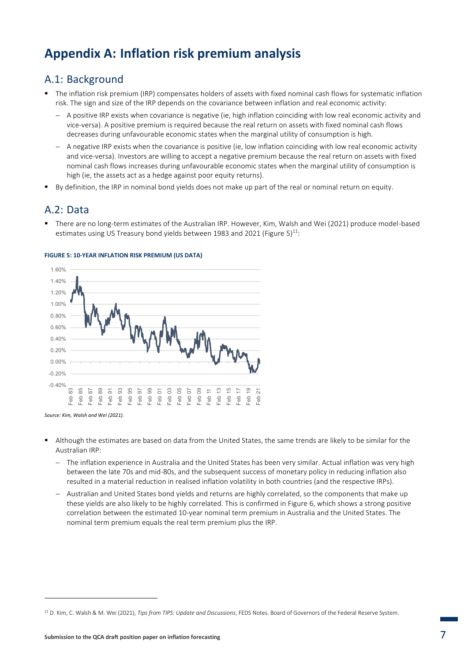## **Appendix A: Inflation risk premium analysis**

### A.1: Background

- The inflation risk premium (IRP) compensates holders of assets with fixed nominal cash flows for systematic inflation risk. The sign and size of the IRP depends on the covariance between inflation and real economic activity:
	- − A positive IRP exists when covariance is negative (ie, high inflation coinciding with low real economic activity and vice-versa). A positive premium is required because the real return on assets with fixed nominal cash flows decreases during unfavourable economic states when the marginal utility of consumption is high.
	- − A negative IRP exists when the covariance is positive (ie, low inflation coinciding with low real economic activity and vice-versa). Investors are willing to accept a negative premium because the real return on assets with fixed nominal cash flows increases during unfavourable economic states when the marginal utility of consumption is high (ie, the assets act as a hedge against poor equity returns).
- By definition, the IRP in nominal bond yields does not make up part of the real or nominal return on equity.

### A.2: Data

■ There are no long-term estimates of the Australian IRP. However, Kim, Walsh and Wei (2021) produce model-based estimates using US Treasury bond yields between 1983 and 2021 (Figure 5) $^{11}$ :



#### **FIGURE 5: 10-YEAR INFLATION RISK PREMIUM (US DATA)**

*Source: Kim, Walsh and Wei (2021).*

- Although the estimates are based on data from the United States, the same trends are likely to be similar for the Australian IRP:
	- − The inflation experience in Australia and the United States has been very similar. Actual inflation was very high between the late 70s and mid-80s, and the subsequent success of monetary policy in reducing inflation also resulted in a material reduction in realised inflation volatility in both countries (and the respective IRPs).
	- − Australian and United States bond yields and returns are highly correlated, so the components that make up these yields are also likely to be highly correlated. This is confirmed in Figure 6, which shows a strong positive correlation between the estimated 10-year nominal term premium in Australia and the United States. The nominal term premium equals the real term premium plus the IRP.

<sup>11</sup> D. Kim, C. Walsh & M. Wei (2021), *Tips from TIPS: Update and Discussions*, FEDS Notes. Board of Governors of the Federal Reserve System.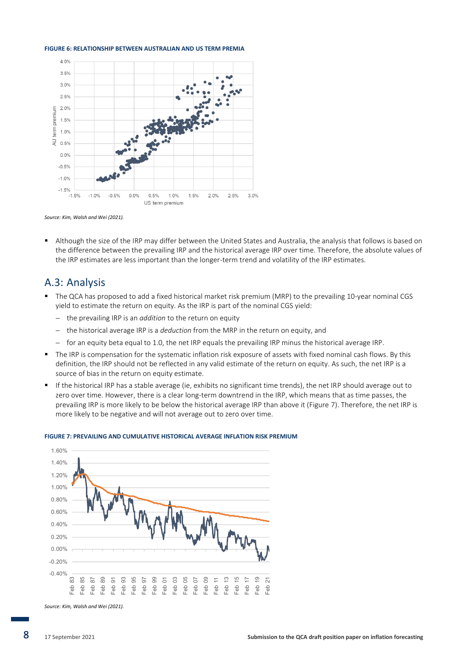#### **FIGURE 6: RELATIONSHIP BETWEEN AUSTRALIAN AND US TERM PREMIA**





Although the size of the IRP may differ between the United States and Australia, the analysis that follows is based on the difference between the prevailing IRP and the historical average IRP over time. Therefore, the absolute values of the IRP estimates are less important than the longer-term trend and volatility of the IRP estimates.

#### A.3: Analysis

- The QCA has proposed to add a fixed historical market risk premium (MRP) to the prevailing 10-year nominal CGS yield to estimate the return on equity. As the IRP is part of the nominal CGS yield:
	- − the prevailing IRP is an *addition* to the return on equity
	- − the historical average IRP is a *deduction* from the MRP in the return on equity, and
	- − for an equity beta equal to 1.0, the net IRP equals the prevailing IRP minus the historical average IRP.
- The IRP is compensation for the systematic inflation risk exposure of assets with fixed nominal cash flows. By this definition, the IRP should not be reflected in any valid estimate of the return on equity. As such, the net IRP is a source of bias in the return on equity estimate.
- If the historical IRP has a stable average (ie, exhibits no significant time trends), the net IRP should average out to zero over time. However, there is a clear long-term downtrend in the IRP, which means that as time passes, the prevailing IRP is more likely to be below the historical average IRP than above it (Figure 7). Therefore, the net IRP is more likely to be negative and will not average out to zero over time.



#### **FIGURE 7: PREVAILING AND CUMULATIVE HISTORICAL AVERAGE INFLATION RISK PREMIUM**

*Source: Kim, Walsh and Wei (2021).*